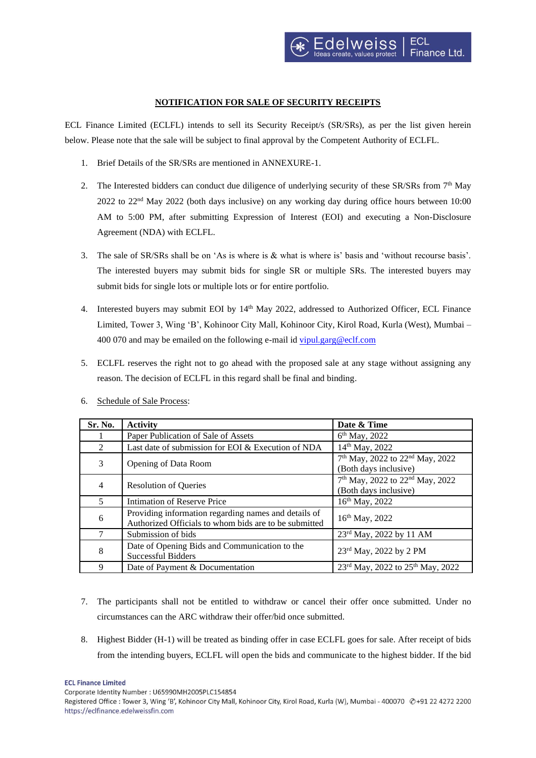## **NOTIFICATION FOR SALE OF SECURITY RECEIPTS**

ECL Finance Limited (ECLFL) intends to sell its Security Receipt/s (SR/SRs), as per the list given herein below. Please note that the sale will be subject to final approval by the Competent Authority of ECLFL.

- 1. Brief Details of the SR/SRs are mentioned in ANNEXURE-1.
- 2. The Interested bidders can conduct due diligence of underlying security of these SR/SRs from  $7<sup>th</sup>$  May 2022 to 22nd May 2022 (both days inclusive) on any working day during office hours between 10:00 AM to 5:00 PM, after submitting Expression of Interest (EOI) and executing a Non-Disclosure Agreement (NDA) with ECLFL.
- 3. The sale of SR/SRs shall be on 'As is where is & what is where is' basis and 'without recourse basis'. The interested buyers may submit bids for single SR or multiple SRs. The interested buyers may submit bids for single lots or multiple lots or for entire portfolio.
- 4. Interested buyers may submit EOI by 14<sup>th</sup> May 2022, addressed to Authorized Officer, ECL Finance Limited, Tower 3, Wing 'B', Kohinoor City Mall, Kohinoor City, Kirol Road, Kurla (West), Mumbai – 400 070 and may be emailed on the following e-mail id [vipul.garg@eclf.com](mailto:vipul.garg@eclf.com)
- 5. ECLFL reserves the right not to go ahead with the proposed sale at any stage without assigning any reason. The decision of ECLFL in this regard shall be final and binding.

| Sr. No.        | <b>Activity</b>                                                                                               | Date & Time                                                                      |  |
|----------------|---------------------------------------------------------------------------------------------------------------|----------------------------------------------------------------------------------|--|
|                | Paper Publication of Sale of Assets                                                                           | $6th$ May, 2022                                                                  |  |
| $\mathfrak{D}$ | Last date of submission for EOI & Execution of NDA                                                            | 14th May, 2022                                                                   |  |
| 3              | Opening of Data Room                                                                                          | 7 <sup>th</sup> May, 2022 to 22 <sup>nd</sup> May, 2022<br>(Both days inclusive) |  |
| $\overline{4}$ | <b>Resolution of Queries</b>                                                                                  | 7 <sup>th</sup> May, 2022 to 22 <sup>nd</sup> May, 2022<br>(Both days inclusive) |  |
| $\overline{5}$ | Intimation of Reserve Price                                                                                   | 16 <sup>th</sup> May, 2022                                                       |  |
| 6              | Providing information regarding names and details of<br>Authorized Officials to whom bids are to be submitted | 16 <sup>th</sup> May, 2022                                                       |  |
|                | Submission of bids                                                                                            | 23rd May, 2022 by 11 AM                                                          |  |
| 8              | Date of Opening Bids and Communication to the<br>Successful Bidders                                           | 23 <sup>rd</sup> May, 2022 by 2 PM                                               |  |
| 9              | Date of Payment & Documentation                                                                               | 23rd May, 2022 to 25 <sup>th</sup> May, 2022                                     |  |

6. Schedule of Sale Process:

- 7. The participants shall not be entitled to withdraw or cancel their offer once submitted. Under no circumstances can the ARC withdraw their offer/bid once submitted.
- 8. Highest Bidder (H-1) will be treated as binding offer in case ECLFL goes for sale. After receipt of bids from the intending buyers, ECLFL will open the bids and communicate to the highest bidder. If the bid

**ECL Finance Limited** 

Corporate Identity Number: U65990MH2005PLC154854

Registered Office : Tower 3, Wing 'B', Kohinoor City Mall, Kohinoor City, Kirol Road, Kurla (W), Mumbai - 400070 @+91 22 4272 2200 https://eclfinance.edelweissfin.com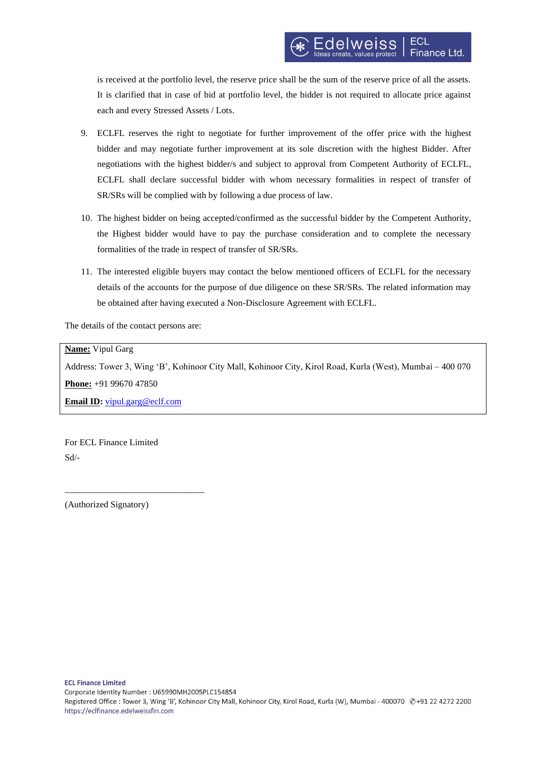is received at the portfolio level, the reserve price shall be the sum of the reserve price of all the assets. It is clarified that in case of bid at portfolio level, the bidder is not required to allocate price against each and every Stressed Assets / Lots.

- 9. ECLFL reserves the right to negotiate for further improvement of the offer price with the highest bidder and may negotiate further improvement at its sole discretion with the highest Bidder. After negotiations with the highest bidder/s and subject to approval from Competent Authority of ECLFL, ECLFL shall declare successful bidder with whom necessary formalities in respect of transfer of SR/SRs will be complied with by following a due process of law.
- 10. The highest bidder on being accepted/confirmed as the successful bidder by the Competent Authority, the Highest bidder would have to pay the purchase consideration and to complete the necessary formalities of the trade in respect of transfer of SR/SRs.
- 11. The interested eligible buyers may contact the below mentioned officers of ECLFL for the necessary details of the accounts for the purpose of due diligence on these SR/SRs. The related information may be obtained after having executed a Non-Disclosure Agreement with ECLFL.

The details of the contact persons are:

## **Name:** Vipul Garg

Address: Tower 3, Wing 'B', Kohinoor City Mall, Kohinoor City, Kirol Road, Kurla (West), Mumbai – 400 070

**Phone:** +91 99670 47850

**Email ID:** [vipul.garg@eclf.com](mailto:vipul.garg@eclf.com)

\_\_\_\_\_\_\_\_\_\_\_\_\_\_\_\_\_\_\_\_\_\_\_\_\_\_\_\_\_\_\_

For ECL Finance Limited Sd/-

(Authorized Signatory)